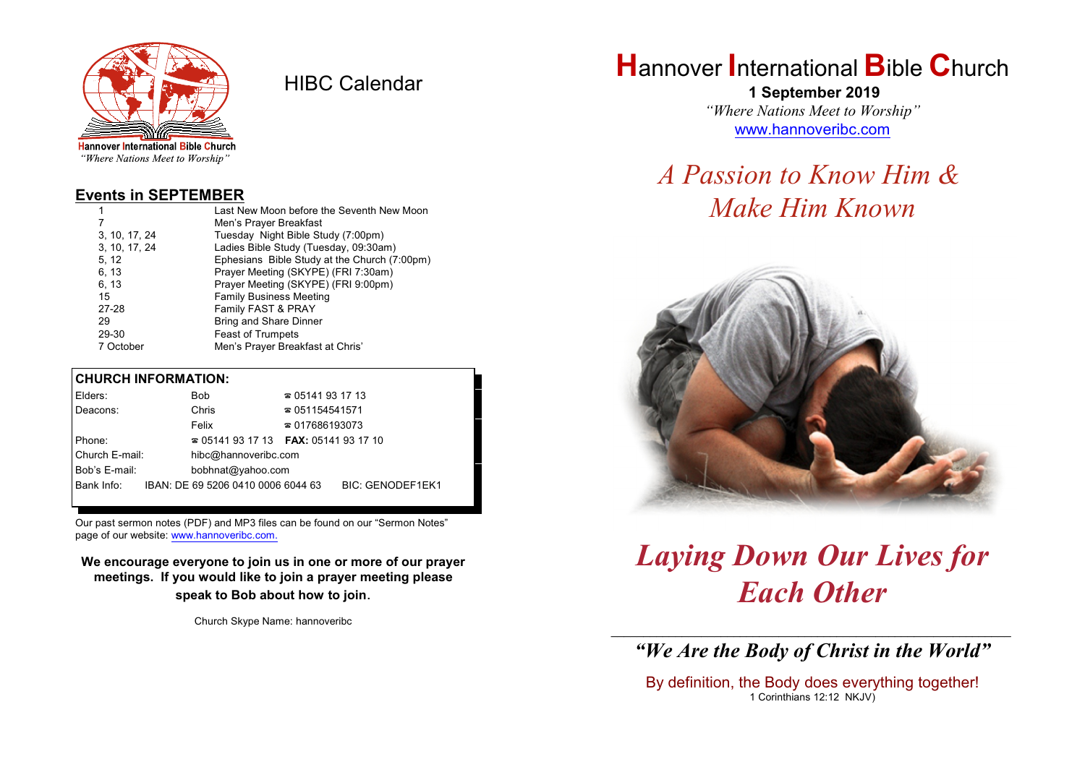

HIBC Calendar

"Where Nations Meet to Worship"

#### **Events in SEPTEMBER**

|               | Last New Moon before the Seventh New Moon    |
|---------------|----------------------------------------------|
|               | Men's Prayer Breakfast                       |
| 3, 10, 17, 24 | Tuesday Night Bible Study (7:00pm)           |
| 3, 10, 17, 24 | Ladies Bible Study (Tuesday, 09:30am)        |
| 5, 12         | Ephesians Bible Study at the Church (7:00pm) |
| 6, 13         | Prayer Meeting (SKYPE) (FRI 7:30am)          |
| 6, 13         | Prayer Meeting (SKYPE) (FRI 9:00pm)          |
| 15            | <b>Family Business Meeting</b>               |
| 27-28         | Family FAST & PRAY                           |
| 29            | <b>Bring and Share Dinner</b>                |
| 29-30         | <b>Feast of Trumpets</b>                     |
| 7 October     | Men's Prayer Breakfast at Chris'             |

#### **CHURCH INFORMATION:**

| Elders:        | Bob                                      | $\approx 05141931713$  |                         |
|----------------|------------------------------------------|------------------------|-------------------------|
| Deacons:       | Chris                                    | $\approx 051154541571$ |                         |
|                | Felix                                    | $\approx 017686193073$ |                         |
| Phone:         | $\approx 05141931713$ FAX: 0514193 17 10 |                        |                         |
| Church E-mail: | hibc@hannoveribc.com                     |                        |                         |
| Bob's E-mail:  | bobhnat@yahoo.com                        |                        |                         |
| Bank Info:     | IBAN: DE 69 5206 0410 0006 6044 63       |                        | <b>BIC: GENODEF1EK1</b> |
|                |                                          |                        |                         |

Our past sermon notes (PDF) and MP3 files can be found on our "Sermon Notes" page of our website: [www.hannoveribc.com.](http://www.hannoveribc.com.)

**We encourage everyone to join us in one or more of our prayer meetings. If you would like to join a prayer meeting please speak to Bob about how to join**.

Church Skype Name: hannoveribc

# **H**annover **I**nternational **B**ible **C**hurch

 **1 September 2019** *"Where Nations Meet to Worship"* [www.hannoveribc.com](http://www.hannoveribc.com)

# *A Passion to Know Him & Make Him Known*



# *Laying Down Our Lives for Each Other*

\_\_\_\_\_\_\_\_\_\_\_\_\_\_\_\_\_\_\_\_\_\_\_\_\_\_\_\_\_\_\_\_\_\_\_\_\_\_\_\_\_\_\_\_\_\_\_\_\_\_\_\_\_\_\_\_\_\_\_\_\_\_ *"We Are the Body of Christ in the World"*

By definition, the Body does everything together! 1 Corinthians 12:12 NKJV)